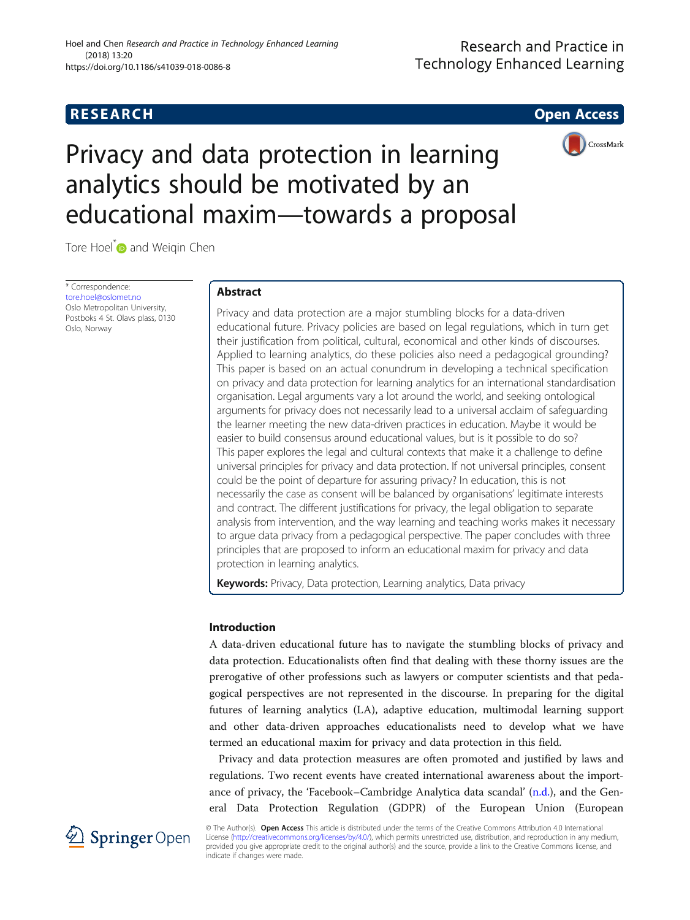# **RESEARCH CHE Open Access**

# Research and Practice in **Technology Enhanced Learning**



Privacy and data protection in learning analytics should be motivated by an educational maxim—towards a proposal

Tore Hoel<sup>\*</sup> and Weiqin Chen

\* Correspondence: [tore.hoel@oslomet.no](mailto:tore.hoel@oslomet.no) Oslo Metropolitan University, Postboks 4 St. Olavs plass, 0130 Oslo, Norway

# Abstract

Privacy and data protection are a major stumbling blocks for a data-driven educational future. Privacy policies are based on legal regulations, which in turn get their justification from political, cultural, economical and other kinds of discourses. Applied to learning analytics, do these policies also need a pedagogical grounding? This paper is based on an actual conundrum in developing a technical specification on privacy and data protection for learning analytics for an international standardisation organisation. Legal arguments vary a lot around the world, and seeking ontological arguments for privacy does not necessarily lead to a universal acclaim of safeguarding the learner meeting the new data-driven practices in education. Maybe it would be easier to build consensus around educational values, but is it possible to do so? This paper explores the legal and cultural contexts that make it a challenge to define universal principles for privacy and data protection. If not universal principles, consent could be the point of departure for assuring privacy? In education, this is not necessarily the case as consent will be balanced by organisations' legitimate interests and contract. The different justifications for privacy, the legal obligation to separate analysis from intervention, and the way learning and teaching works makes it necessary to argue data privacy from a pedagogical perspective. The paper concludes with three principles that are proposed to inform an educational maxim for privacy and data protection in learning analytics.

Keywords: Privacy, Data protection, Learning analytics, Data privacy

# Introduction

A data-driven educational future has to navigate the stumbling blocks of privacy and data protection. Educationalists often find that dealing with these thorny issues are the prerogative of other professions such as lawyers or computer scientists and that pedagogical perspectives are not represented in the discourse. In preparing for the digital futures of learning analytics (LA), adaptive education, multimodal learning support and other data-driven approaches educationalists need to develop what we have termed an educational maxim for privacy and data protection in this field.

Privacy and data protection measures are often promoted and justified by laws and regulations. Two recent events have created international awareness about the importance of privacy, the 'Facebook–Cambridge Analytica data scandal' ([n.d.\)](#page-12-0), and the General Data Protection Regulation (GDPR) of the European Union (European



© The Author(s). Open Access This article is distributed under the terms of the Creative Commons Attribution 4.0 International License [\(http://creativecommons.org/licenses/by/4.0/](http://creativecommons.org/licenses/by/4.0/)), which permits unrestricted use, distribution, and reproduction in any medium, provided you give appropriate credit to the original author(s) and the source, provide a link to the Creative Commons license, and indicate if changes were made.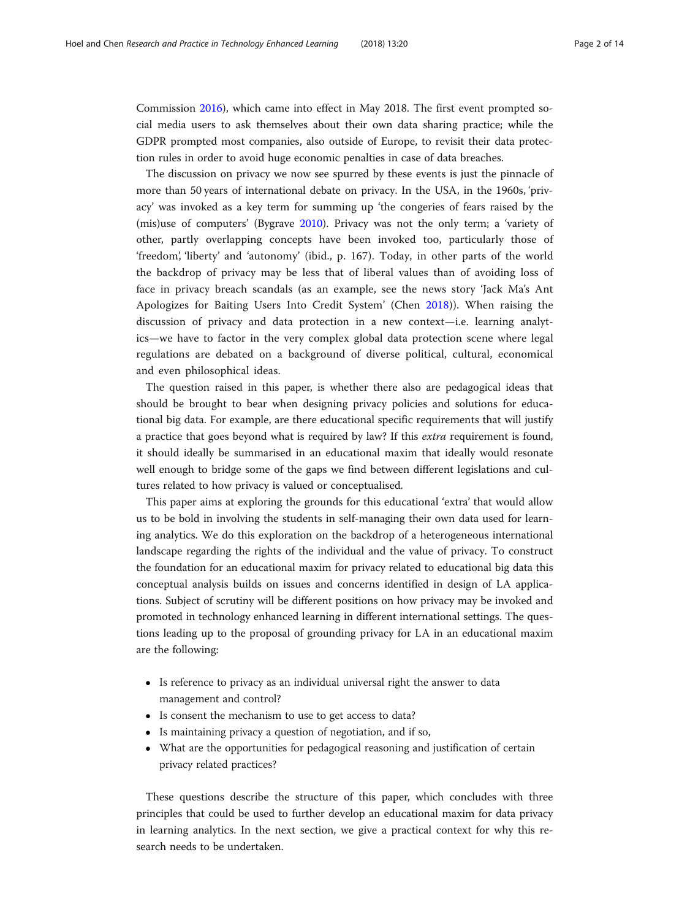Commission [2016](#page-12-0)), which came into effect in May 2018. The first event prompted social media users to ask themselves about their own data sharing practice; while the GDPR prompted most companies, also outside of Europe, to revisit their data protection rules in order to avoid huge economic penalties in case of data breaches.

The discussion on privacy we now see spurred by these events is just the pinnacle of more than 50 years of international debate on privacy. In the USA, in the 1960s, 'privacy' was invoked as a key term for summing up 'the congeries of fears raised by the (mis)use of computers' (Bygrave [2010\)](#page-12-0). Privacy was not the only term; a 'variety of other, partly overlapping concepts have been invoked too, particularly those of 'freedom', 'liberty' and 'autonomy' (ibid., p. 167). Today, in other parts of the world the backdrop of privacy may be less that of liberal values than of avoiding loss of face in privacy breach scandals (as an example, see the news story 'Jack Ma's Ant Apologizes for Baiting Users Into Credit System' (Chen [2018\)](#page-12-0)). When raising the discussion of privacy and data protection in a new context—i.e. learning analytics—we have to factor in the very complex global data protection scene where legal regulations are debated on a background of diverse political, cultural, economical and even philosophical ideas.

The question raised in this paper, is whether there also are pedagogical ideas that should be brought to bear when designing privacy policies and solutions for educational big data. For example, are there educational specific requirements that will justify a practice that goes beyond what is required by law? If this extra requirement is found, it should ideally be summarised in an educational maxim that ideally would resonate well enough to bridge some of the gaps we find between different legislations and cultures related to how privacy is valued or conceptualised.

This paper aims at exploring the grounds for this educational 'extra' that would allow us to be bold in involving the students in self-managing their own data used for learning analytics. We do this exploration on the backdrop of a heterogeneous international landscape regarding the rights of the individual and the value of privacy. To construct the foundation for an educational maxim for privacy related to educational big data this conceptual analysis builds on issues and concerns identified in design of LA applications. Subject of scrutiny will be different positions on how privacy may be invoked and promoted in technology enhanced learning in different international settings. The questions leading up to the proposal of grounding privacy for LA in an educational maxim are the following:

- Is reference to privacy as an individual universal right the answer to data management and control?
- Is consent the mechanism to use to get access to data?
- Is maintaining privacy a question of negotiation, and if so,
- What are the opportunities for pedagogical reasoning and justification of certain privacy related practices?

These questions describe the structure of this paper, which concludes with three principles that could be used to further develop an educational maxim for data privacy in learning analytics. In the next section, we give a practical context for why this research needs to be undertaken.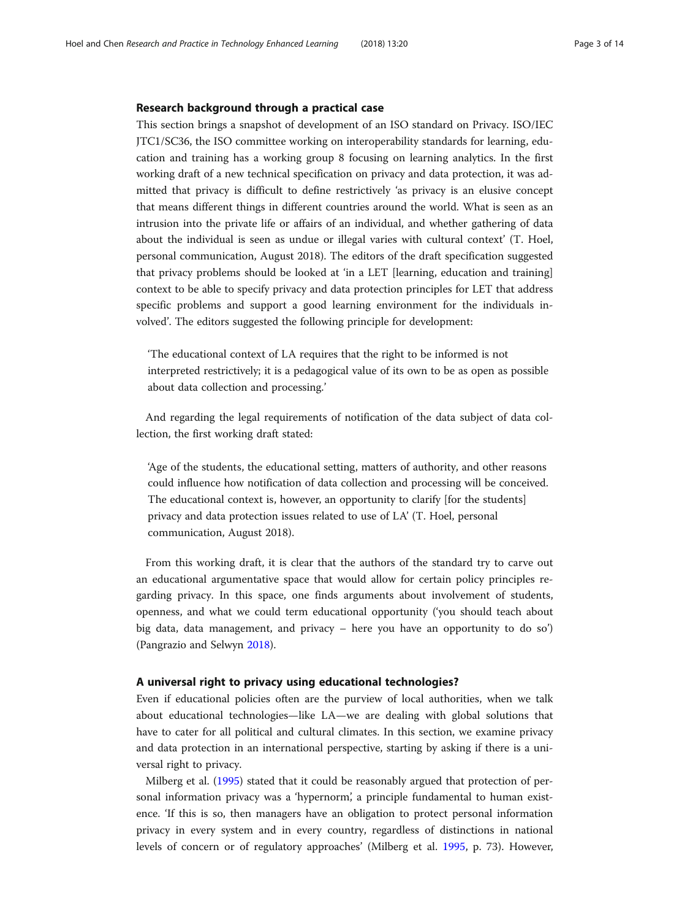# Research background through a practical case

This section brings a snapshot of development of an ISO standard on Privacy. ISO/IEC JTC1/SC36, the ISO committee working on interoperability standards for learning, education and training has a working group 8 focusing on learning analytics. In the first working draft of a new technical specification on privacy and data protection, it was admitted that privacy is difficult to define restrictively 'as privacy is an elusive concept that means different things in different countries around the world. What is seen as an intrusion into the private life or affairs of an individual, and whether gathering of data about the individual is seen as undue or illegal varies with cultural context' (T. Hoel, personal communication, August 2018). The editors of the draft specification suggested that privacy problems should be looked at 'in a LET [learning, education and training] context to be able to specify privacy and data protection principles for LET that address specific problems and support a good learning environment for the individuals involved'. The editors suggested the following principle for development:

'The educational context of LA requires that the right to be informed is not interpreted restrictively; it is a pedagogical value of its own to be as open as possible about data collection and processing.'

And regarding the legal requirements of notification of the data subject of data collection, the first working draft stated:

'Age of the students, the educational setting, matters of authority, and other reasons could influence how notification of data collection and processing will be conceived. The educational context is, however, an opportunity to clarify [for the students] privacy and data protection issues related to use of LA' (T. Hoel, personal communication, August 2018).

From this working draft, it is clear that the authors of the standard try to carve out an educational argumentative space that would allow for certain policy principles regarding privacy. In this space, one finds arguments about involvement of students, openness, and what we could term educational opportunity ('you should teach about big data, data management, and privacy – here you have an opportunity to do so') (Pangrazio and Selwyn [2018](#page-13-0)).

## A universal right to privacy using educational technologies?

Even if educational policies often are the purview of local authorities, when we talk about educational technologies—like LA—we are dealing with global solutions that have to cater for all political and cultural climates. In this section, we examine privacy and data protection in an international perspective, starting by asking if there is a universal right to privacy.

Milberg et al. [\(1995\)](#page-13-0) stated that it could be reasonably argued that protection of personal information privacy was a 'hypernorm', a principle fundamental to human existence. 'If this is so, then managers have an obligation to protect personal information privacy in every system and in every country, regardless of distinctions in national levels of concern or of regulatory approaches' (Milberg et al. [1995,](#page-13-0) p. 73). However,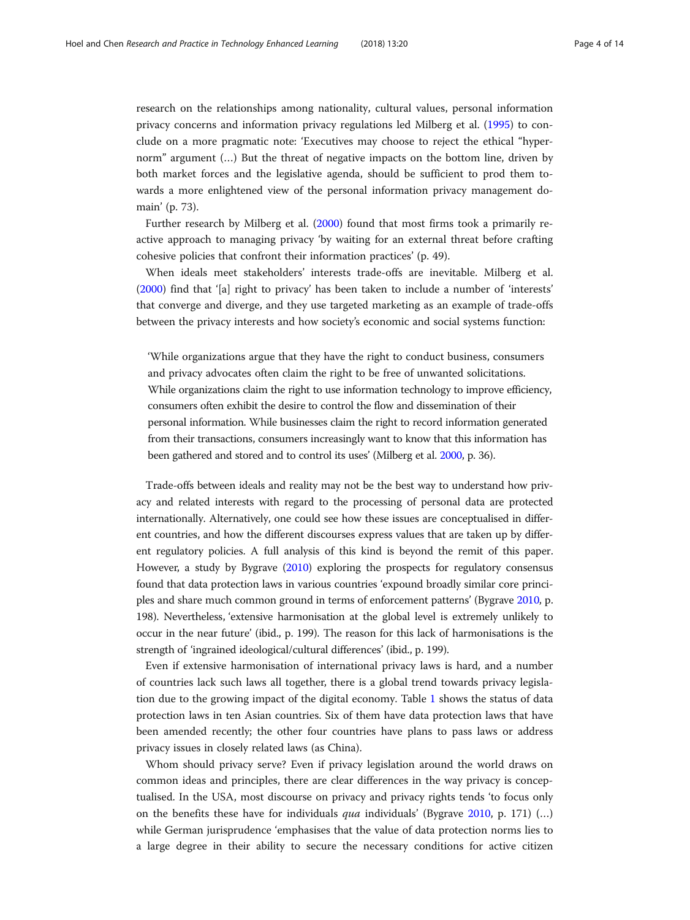research on the relationships among nationality, cultural values, personal information privacy concerns and information privacy regulations led Milberg et al. ([1995\)](#page-13-0) to conclude on a more pragmatic note: 'Executives may choose to reject the ethical "hypernorm" argument (…) But the threat of negative impacts on the bottom line, driven by both market forces and the legislative agenda, should be sufficient to prod them towards a more enlightened view of the personal information privacy management domain' (p. 73).

Further research by Milberg et al. [\(2000\)](#page-13-0) found that most firms took a primarily reactive approach to managing privacy 'by waiting for an external threat before crafting cohesive policies that confront their information practices' (p. 49).

When ideals meet stakeholders' interests trade-offs are inevitable. Milberg et al. ([2000](#page-13-0)) find that '[a] right to privacy' has been taken to include a number of 'interests' that converge and diverge, and they use targeted marketing as an example of trade-offs between the privacy interests and how society's economic and social systems function:

'While organizations argue that they have the right to conduct business, consumers and privacy advocates often claim the right to be free of unwanted solicitations. While organizations claim the right to use information technology to improve efficiency, consumers often exhibit the desire to control the flow and dissemination of their personal information. While businesses claim the right to record information generated from their transactions, consumers increasingly want to know that this information has been gathered and stored and to control its uses' (Milberg et al. [2000,](#page-13-0) p. 36).

Trade-offs between ideals and reality may not be the best way to understand how privacy and related interests with regard to the processing of personal data are protected internationally. Alternatively, one could see how these issues are conceptualised in different countries, and how the different discourses express values that are taken up by different regulatory policies. A full analysis of this kind is beyond the remit of this paper. However, a study by Bygrave [\(2010](#page-12-0)) exploring the prospects for regulatory consensus found that data protection laws in various countries 'expound broadly similar core principles and share much common ground in terms of enforcement patterns' (Bygrave [2010,](#page-12-0) p. 198). Nevertheless, 'extensive harmonisation at the global level is extremely unlikely to occur in the near future' (ibid., p. 199). The reason for this lack of harmonisations is the strength of 'ingrained ideological/cultural differences' (ibid., p. 199).

Even if extensive harmonisation of international privacy laws is hard, and a number of countries lack such laws all together, there is a global trend towards privacy legislation due to the growing impact of the digital economy. Table [1](#page-4-0) shows the status of data protection laws in ten Asian countries. Six of them have data protection laws that have been amended recently; the other four countries have plans to pass laws or address privacy issues in closely related laws (as China).

Whom should privacy serve? Even if privacy legislation around the world draws on common ideas and principles, there are clear differences in the way privacy is conceptualised. In the USA, most discourse on privacy and privacy rights tends 'to focus only on the benefits these have for individuals *qua* individuals' (Bygrave [2010,](#page-12-0) p. 171)  $(...)$ while German jurisprudence 'emphasises that the value of data protection norms lies to a large degree in their ability to secure the necessary conditions for active citizen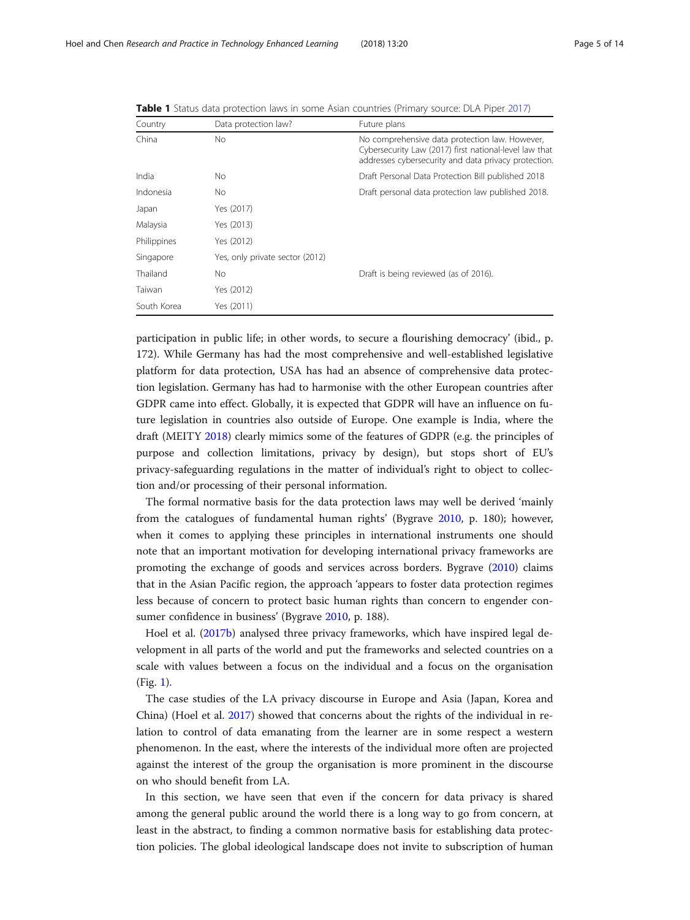| Country     | Data protection law?            | Future plans                                                                                                                                                     |
|-------------|---------------------------------|------------------------------------------------------------------------------------------------------------------------------------------------------------------|
| China       | No.                             | No comprehensive data protection law. However,<br>Cybersecurity Law (2017) first national-level law that<br>addresses cybersecurity and data privacy protection. |
| India       | No                              | Draft Personal Data Protection Bill published 2018                                                                                                               |
| Indonesia   | No                              | Draft personal data protection law published 2018.                                                                                                               |
| Japan       | Yes (2017)                      |                                                                                                                                                                  |
| Malaysia    | Yes (2013)                      |                                                                                                                                                                  |
| Philippines | Yes (2012)                      |                                                                                                                                                                  |
| Singapore   | Yes, only private sector (2012) |                                                                                                                                                                  |
| Thailand    | No                              | Draft is being reviewed (as of 2016).                                                                                                                            |
| Taiwan      | Yes (2012)                      |                                                                                                                                                                  |
| South Korea | Yes (2011)                      |                                                                                                                                                                  |

<span id="page-4-0"></span>Table 1 Status data protection laws in some Asian countries (Primary source: DLA Piper [2017\)](#page-13-0)

participation in public life; in other words, to secure a flourishing democracy' (ibid., p. 172). While Germany has had the most comprehensive and well-established legislative platform for data protection, USA has had an absence of comprehensive data protection legislation. Germany has had to harmonise with the other European countries after GDPR came into effect. Globally, it is expected that GDPR will have an influence on future legislation in countries also outside of Europe. One example is India, where the draft (MEITY [2018\)](#page-13-0) clearly mimics some of the features of GDPR (e.g. the principles of purpose and collection limitations, privacy by design), but stops short of EU's privacy-safeguarding regulations in the matter of individual's right to object to collection and/or processing of their personal information.

The formal normative basis for the data protection laws may well be derived 'mainly from the catalogues of fundamental human rights' (Bygrave [2010](#page-12-0), p. 180); however, when it comes to applying these principles in international instruments one should note that an important motivation for developing international privacy frameworks are promoting the exchange of goods and services across borders. Bygrave ([2010](#page-12-0)) claims that in the Asian Pacific region, the approach 'appears to foster data protection regimes less because of concern to protect basic human rights than concern to engender consumer confidence in business' (Bygrave [2010,](#page-12-0) p. 188).

Hoel et al. ([2017b](#page-13-0)) analysed three privacy frameworks, which have inspired legal development in all parts of the world and put the frameworks and selected countries on a scale with values between a focus on the individual and a focus on the organisation (Fig. [1](#page-5-0)).

The case studies of the LA privacy discourse in Europe and Asia (Japan, Korea and China) (Hoel et al. [2017\)](#page-13-0) showed that concerns about the rights of the individual in relation to control of data emanating from the learner are in some respect a western phenomenon. In the east, where the interests of the individual more often are projected against the interest of the group the organisation is more prominent in the discourse on who should benefit from LA.

In this section, we have seen that even if the concern for data privacy is shared among the general public around the world there is a long way to go from concern, at least in the abstract, to finding a common normative basis for establishing data protection policies. The global ideological landscape does not invite to subscription of human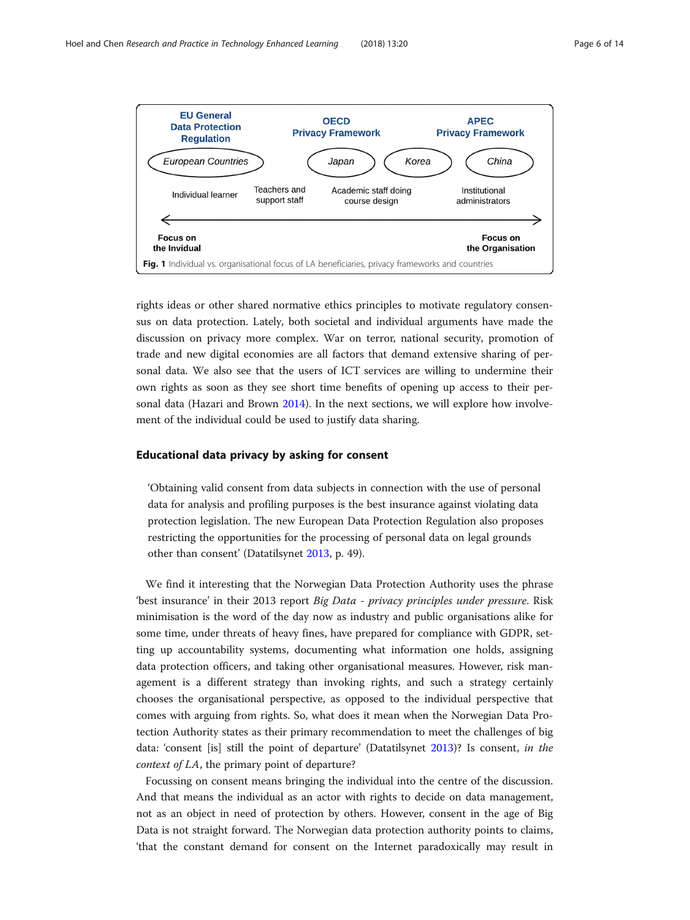<span id="page-5-0"></span>

rights ideas or other shared normative ethics principles to motivate regulatory consensus on data protection. Lately, both societal and individual arguments have made the discussion on privacy more complex. War on terror, national security, promotion of trade and new digital economies are all factors that demand extensive sharing of personal data. We also see that the users of ICT services are willing to undermine their own rights as soon as they see short time benefits of opening up access to their personal data (Hazari and Brown [2014\)](#page-12-0). In the next sections, we will explore how involvement of the individual could be used to justify data sharing.

# Educational data privacy by asking for consent

'Obtaining valid consent from data subjects in connection with the use of personal data for analysis and profiling purposes is the best insurance against violating data protection legislation. The new European Data Protection Regulation also proposes restricting the opportunities for the processing of personal data on legal grounds other than consent' (Datatilsynet [2013](#page-12-0), p. 49).

We find it interesting that the Norwegian Data Protection Authority uses the phrase 'best insurance' in their 2013 report Big Data - privacy principles under pressure. Risk minimisation is the word of the day now as industry and public organisations alike for some time, under threats of heavy fines, have prepared for compliance with GDPR, setting up accountability systems, documenting what information one holds, assigning data protection officers, and taking other organisational measures. However, risk management is a different strategy than invoking rights, and such a strategy certainly chooses the organisational perspective, as opposed to the individual perspective that comes with arguing from rights. So, what does it mean when the Norwegian Data Protection Authority states as their primary recommendation to meet the challenges of big data: 'consent [is] still the point of departure' (Datatilsynet [2013\)](#page-12-0)? Is consent, in the context of LA, the primary point of departure?

Focussing on consent means bringing the individual into the centre of the discussion. And that means the individual as an actor with rights to decide on data management, not as an object in need of protection by others. However, consent in the age of Big Data is not straight forward. The Norwegian data protection authority points to claims, 'that the constant demand for consent on the Internet paradoxically may result in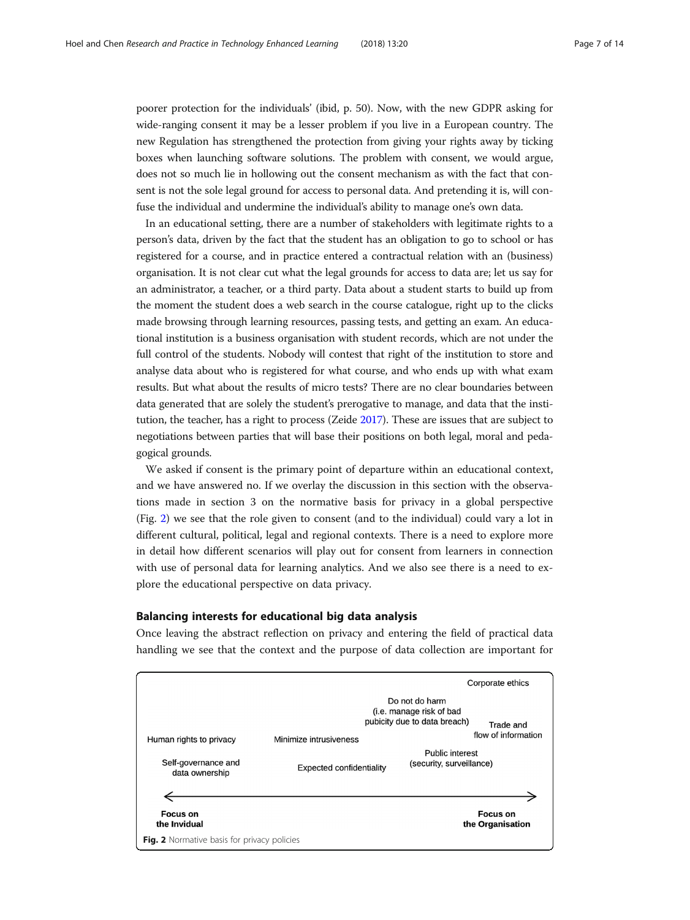poorer protection for the individuals' (ibid, p. 50). Now, with the new GDPR asking for wide-ranging consent it may be a lesser problem if you live in a European country. The new Regulation has strengthened the protection from giving your rights away by ticking boxes when launching software solutions. The problem with consent, we would argue, does not so much lie in hollowing out the consent mechanism as with the fact that consent is not the sole legal ground for access to personal data. And pretending it is, will confuse the individual and undermine the individual's ability to manage one's own data.

In an educational setting, there are a number of stakeholders with legitimate rights to a person's data, driven by the fact that the student has an obligation to go to school or has registered for a course, and in practice entered a contractual relation with an (business) organisation. It is not clear cut what the legal grounds for access to data are; let us say for an administrator, a teacher, or a third party. Data about a student starts to build up from the moment the student does a web search in the course catalogue, right up to the clicks made browsing through learning resources, passing tests, and getting an exam. An educational institution is a business organisation with student records, which are not under the full control of the students. Nobody will contest that right of the institution to store and analyse data about who is registered for what course, and who ends up with what exam results. But what about the results of micro tests? There are no clear boundaries between data generated that are solely the student's prerogative to manage, and data that the institution, the teacher, has a right to process (Zeide [2017](#page-13-0)). These are issues that are subject to negotiations between parties that will base their positions on both legal, moral and pedagogical grounds.

We asked if consent is the primary point of departure within an educational context, and we have answered no. If we overlay the discussion in this section with the observations made in section 3 on the normative basis for privacy in a global perspective (Fig. 2) we see that the role given to consent (and to the individual) could vary a lot in different cultural, political, legal and regional contexts. There is a need to explore more in detail how different scenarios will play out for consent from learners in connection with use of personal data for learning analytics. And we also see there is a need to explore the educational perspective on data privacy.

# Balancing interests for educational big data analysis

Once leaving the abstract reflection on privacy and entering the field of practical data handling we see that the context and the purpose of data collection are important for

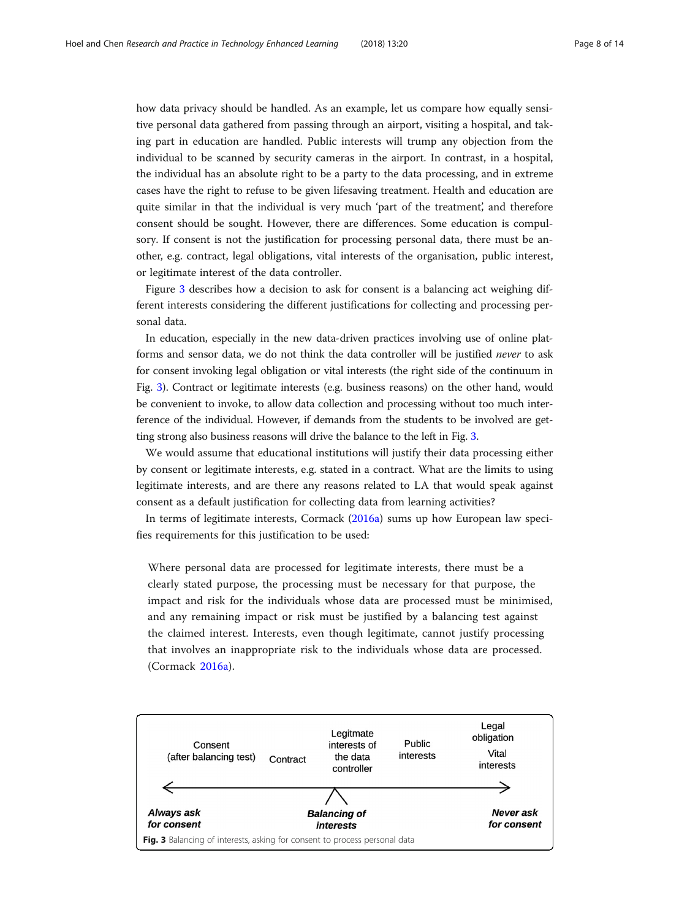how data privacy should be handled. As an example, let us compare how equally sensitive personal data gathered from passing through an airport, visiting a hospital, and taking part in education are handled. Public interests will trump any objection from the individual to be scanned by security cameras in the airport. In contrast, in a hospital, the individual has an absolute right to be a party to the data processing, and in extreme cases have the right to refuse to be given lifesaving treatment. Health and education are quite similar in that the individual is very much 'part of the treatment', and therefore consent should be sought. However, there are differences. Some education is compulsory. If consent is not the justification for processing personal data, there must be another, e.g. contract, legal obligations, vital interests of the organisation, public interest, or legitimate interest of the data controller.

Figure 3 describes how a decision to ask for consent is a balancing act weighing different interests considering the different justifications for collecting and processing personal data.

In education, especially in the new data-driven practices involving use of online platforms and sensor data, we do not think the data controller will be justified never to ask for consent invoking legal obligation or vital interests (the right side of the continuum in Fig. 3). Contract or legitimate interests (e.g. business reasons) on the other hand, would be convenient to invoke, to allow data collection and processing without too much interference of the individual. However, if demands from the students to be involved are getting strong also business reasons will drive the balance to the left in Fig. 3.

We would assume that educational institutions will justify their data processing either by consent or legitimate interests, e.g. stated in a contract. What are the limits to using legitimate interests, and are there any reasons related to LA that would speak against consent as a default justification for collecting data from learning activities?

In terms of legitimate interests, Cormack ([2016a\)](#page-12-0) sums up how European law specifies requirements for this justification to be used:

Where personal data are processed for legitimate interests, there must be a clearly stated purpose, the processing must be necessary for that purpose, the impact and risk for the individuals whose data are processed must be minimised, and any remaining impact or risk must be justified by a balancing test against the claimed interest. Interests, even though legitimate, cannot justify processing that involves an inappropriate risk to the individuals whose data are processed. (Cormack [2016a](#page-12-0)).

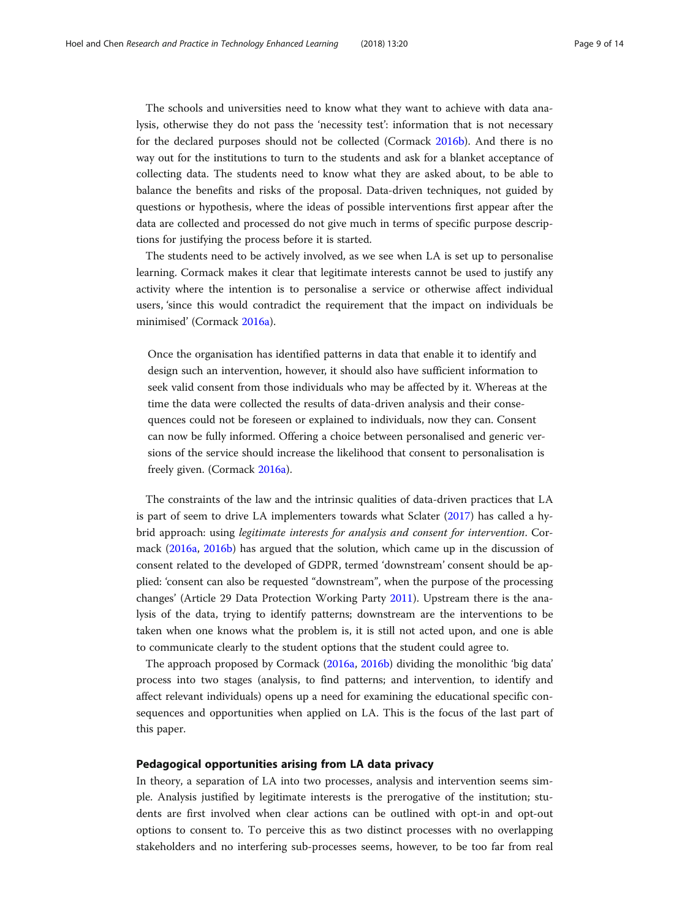The schools and universities need to know what they want to achieve with data analysis, otherwise they do not pass the 'necessity test': information that is not necessary for the declared purposes should not be collected (Cormack [2016b\)](#page-12-0). And there is no way out for the institutions to turn to the students and ask for a blanket acceptance of collecting data. The students need to know what they are asked about, to be able to balance the benefits and risks of the proposal. Data-driven techniques, not guided by questions or hypothesis, where the ideas of possible interventions first appear after the data are collected and processed do not give much in terms of specific purpose descriptions for justifying the process before it is started.

The students need to be actively involved, as we see when LA is set up to personalise learning. Cormack makes it clear that legitimate interests cannot be used to justify any activity where the intention is to personalise a service or otherwise affect individual users, 'since this would contradict the requirement that the impact on individuals be minimised' (Cormack [2016a\)](#page-12-0).

Once the organisation has identified patterns in data that enable it to identify and design such an intervention, however, it should also have sufficient information to seek valid consent from those individuals who may be affected by it. Whereas at the time the data were collected the results of data-driven analysis and their consequences could not be foreseen or explained to individuals, now they can. Consent can now be fully informed. Offering a choice between personalised and generic versions of the service should increase the likelihood that consent to personalisation is freely given. (Cormack [2016a](#page-12-0)).

The constraints of the law and the intrinsic qualities of data-driven practices that LA is part of seem to drive LA implementers towards what Sclater [\(2017](#page-13-0)) has called a hybrid approach: using legitimate interests for analysis and consent for intervention. Cormack [\(2016a](#page-12-0), [2016b\)](#page-12-0) has argued that the solution, which came up in the discussion of consent related to the developed of GDPR, termed 'downstream' consent should be applied: 'consent can also be requested "downstream", when the purpose of the processing changes' (Article 29 Data Protection Working Party [2011\)](#page-12-0). Upstream there is the analysis of the data, trying to identify patterns; downstream are the interventions to be taken when one knows what the problem is, it is still not acted upon, and one is able to communicate clearly to the student options that the student could agree to.

The approach proposed by Cormack [\(2016a](#page-12-0), [2016b](#page-12-0)) dividing the monolithic 'big data' process into two stages (analysis, to find patterns; and intervention, to identify and affect relevant individuals) opens up a need for examining the educational specific consequences and opportunities when applied on LA. This is the focus of the last part of this paper.

# Pedagogical opportunities arising from LA data privacy

In theory, a separation of LA into two processes, analysis and intervention seems simple. Analysis justified by legitimate interests is the prerogative of the institution; students are first involved when clear actions can be outlined with opt-in and opt-out options to consent to. To perceive this as two distinct processes with no overlapping stakeholders and no interfering sub-processes seems, however, to be too far from real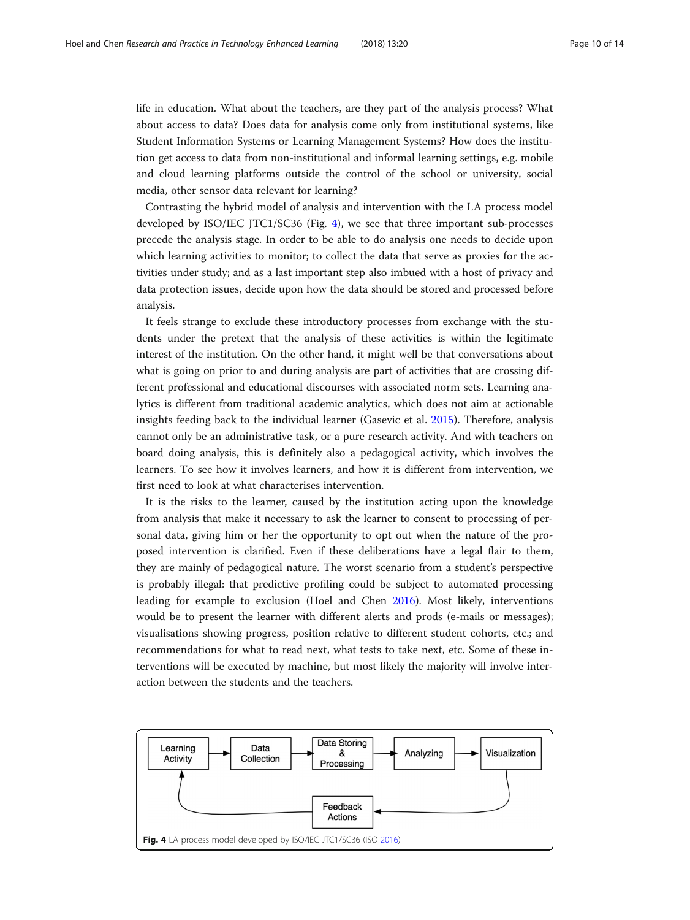<span id="page-9-0"></span>life in education. What about the teachers, are they part of the analysis process? What about access to data? Does data for analysis come only from institutional systems, like Student Information Systems or Learning Management Systems? How does the institution get access to data from non-institutional and informal learning settings, e.g. mobile and cloud learning platforms outside the control of the school or university, social media, other sensor data relevant for learning?

Contrasting the hybrid model of analysis and intervention with the LA process model developed by ISO/IEC JTC1/SC36 (Fig. 4), we see that three important sub-processes precede the analysis stage. In order to be able to do analysis one needs to decide upon which learning activities to monitor; to collect the data that serve as proxies for the activities under study; and as a last important step also imbued with a host of privacy and data protection issues, decide upon how the data should be stored and processed before analysis.

It feels strange to exclude these introductory processes from exchange with the students under the pretext that the analysis of these activities is within the legitimate interest of the institution. On the other hand, it might well be that conversations about what is going on prior to and during analysis are part of activities that are crossing different professional and educational discourses with associated norm sets. Learning analytics is different from traditional academic analytics, which does not aim at actionable insights feeding back to the individual learner (Gasevic et al. [2015\)](#page-12-0). Therefore, analysis cannot only be an administrative task, or a pure research activity. And with teachers on board doing analysis, this is definitely also a pedagogical activity, which involves the learners. To see how it involves learners, and how it is different from intervention, we first need to look at what characterises intervention.

It is the risks to the learner, caused by the institution acting upon the knowledge from analysis that make it necessary to ask the learner to consent to processing of personal data, giving him or her the opportunity to opt out when the nature of the proposed intervention is clarified. Even if these deliberations have a legal flair to them, they are mainly of pedagogical nature. The worst scenario from a student's perspective is probably illegal: that predictive profiling could be subject to automated processing leading for example to exclusion (Hoel and Chen [2016\)](#page-13-0). Most likely, interventions would be to present the learner with different alerts and prods (e-mails or messages); visualisations showing progress, position relative to different student cohorts, etc.; and recommendations for what to read next, what tests to take next, etc. Some of these interventions will be executed by machine, but most likely the majority will involve interaction between the students and the teachers.

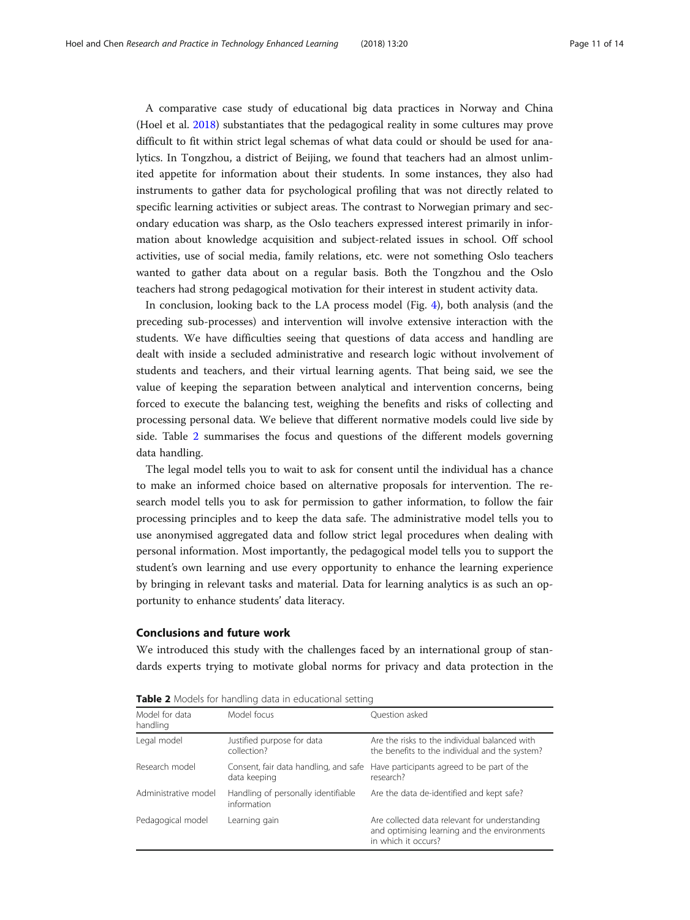A comparative case study of educational big data practices in Norway and China (Hoel et al. [2018](#page-13-0)) substantiates that the pedagogical reality in some cultures may prove difficult to fit within strict legal schemas of what data could or should be used for analytics. In Tongzhou, a district of Beijing, we found that teachers had an almost unlimited appetite for information about their students. In some instances, they also had instruments to gather data for psychological profiling that was not directly related to specific learning activities or subject areas. The contrast to Norwegian primary and secondary education was sharp, as the Oslo teachers expressed interest primarily in information about knowledge acquisition and subject-related issues in school. Off school activities, use of social media, family relations, etc. were not something Oslo teachers wanted to gather data about on a regular basis. Both the Tongzhou and the Oslo teachers had strong pedagogical motivation for their interest in student activity data.

In conclusion, looking back to the LA process model (Fig. [4](#page-9-0)), both analysis (and the preceding sub-processes) and intervention will involve extensive interaction with the students. We have difficulties seeing that questions of data access and handling are dealt with inside a secluded administrative and research logic without involvement of students and teachers, and their virtual learning agents. That being said, we see the value of keeping the separation between analytical and intervention concerns, being forced to execute the balancing test, weighing the benefits and risks of collecting and processing personal data. We believe that different normative models could live side by side. Table 2 summarises the focus and questions of the different models governing data handling.

The legal model tells you to wait to ask for consent until the individual has a chance to make an informed choice based on alternative proposals for intervention. The research model tells you to ask for permission to gather information, to follow the fair processing principles and to keep the data safe. The administrative model tells you to use anonymised aggregated data and follow strict legal procedures when dealing with personal information. Most importantly, the pedagogical model tells you to support the student's own learning and use every opportunity to enhance the learning experience by bringing in relevant tasks and material. Data for learning analytics is as such an opportunity to enhance students' data literacy.

# Conclusions and future work

We introduced this study with the challenges faced by an international group of standards experts trying to motivate global norms for privacy and data protection in the

| Model for data<br>handling | Model focus                                           | Ouestion asked                                                                                                       |
|----------------------------|-------------------------------------------------------|----------------------------------------------------------------------------------------------------------------------|
| Legal model                | Justified purpose for data<br>collection?             | Are the risks to the individual balanced with<br>the benefits to the individual and the system?                      |
| Research model             | Consent, fair data handling, and safe<br>data keeping | Have participants agreed to be part of the<br>research?                                                              |
| Administrative model       | Handling of personally identifiable<br>information    | Are the data de-identified and kept safe?                                                                            |
| Pedagogical model          | Learning gain                                         | Are collected data relevant for understanding<br>and optimising learning and the environments<br>in which it occurs? |

Table 2 Models for handling data in educational setting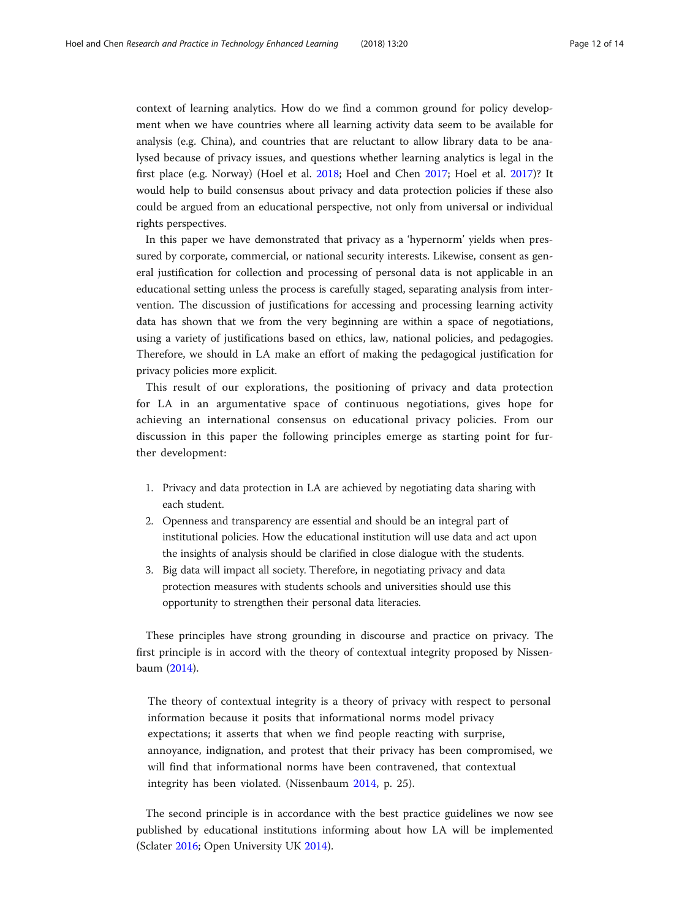context of learning analytics. How do we find a common ground for policy development when we have countries where all learning activity data seem to be available for analysis (e.g. China), and countries that are reluctant to allow library data to be analysed because of privacy issues, and questions whether learning analytics is legal in the first place (e.g. Norway) (Hoel et al. [2018;](#page-13-0) Hoel and Chen [2017;](#page-13-0) Hoel et al. [2017](#page-13-0))? It would help to build consensus about privacy and data protection policies if these also could be argued from an educational perspective, not only from universal or individual rights perspectives.

In this paper we have demonstrated that privacy as a 'hypernorm' yields when pressured by corporate, commercial, or national security interests. Likewise, consent as general justification for collection and processing of personal data is not applicable in an educational setting unless the process is carefully staged, separating analysis from intervention. The discussion of justifications for accessing and processing learning activity data has shown that we from the very beginning are within a space of negotiations, using a variety of justifications based on ethics, law, national policies, and pedagogies. Therefore, we should in LA make an effort of making the pedagogical justification for privacy policies more explicit.

This result of our explorations, the positioning of privacy and data protection for LA in an argumentative space of continuous negotiations, gives hope for achieving an international consensus on educational privacy policies. From our discussion in this paper the following principles emerge as starting point for further development:

- 1. Privacy and data protection in LA are achieved by negotiating data sharing with each student.
- 2. Openness and transparency are essential and should be an integral part of institutional policies. How the educational institution will use data and act upon the insights of analysis should be clarified in close dialogue with the students.
- 3. Big data will impact all society. Therefore, in negotiating privacy and data protection measures with students schools and universities should use this opportunity to strengthen their personal data literacies.

These principles have strong grounding in discourse and practice on privacy. The first principle is in accord with the theory of contextual integrity proposed by Nissenbaum ([2014](#page-13-0)).

The theory of contextual integrity is a theory of privacy with respect to personal information because it posits that informational norms model privacy expectations; it asserts that when we find people reacting with surprise, annoyance, indignation, and protest that their privacy has been compromised, we will find that informational norms have been contravened, that contextual integrity has been violated. (Nissenbaum [2014](#page-13-0), p. 25).

The second principle is in accordance with the best practice guidelines we now see published by educational institutions informing about how LA will be implemented (Sclater [2016](#page-13-0); Open University UK [2014\)](#page-13-0).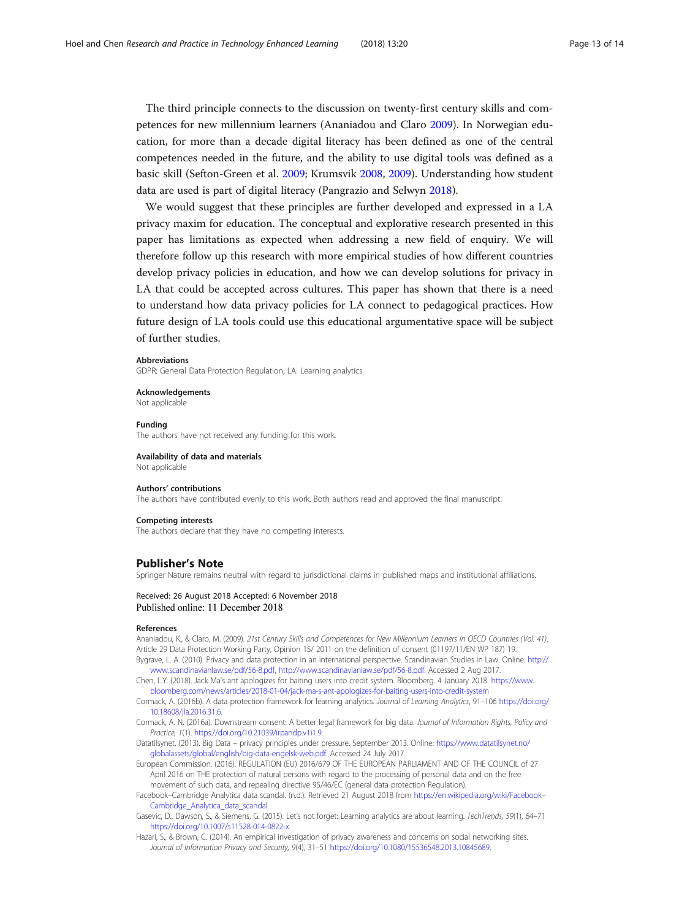<span id="page-12-0"></span>The third principle connects to the discussion on twenty-first century skills and competences for new millennium learners (Ananiadou and Claro 2009). In Norwegian education, for more than a decade digital literacy has been defined as one of the central competences needed in the future, and the ability to use digital tools was defined as a basic skill (Sefton-Green et al. [2009](#page-13-0); Krumsvik [2008](#page-13-0), [2009](#page-13-0)). Understanding how student data are used is part of digital literacy (Pangrazio and Selwyn [2018](#page-13-0)).

We would suggest that these principles are further developed and expressed in a LA privacy maxim for education. The conceptual and explorative research presented in this paper has limitations as expected when addressing a new field of enquiry. We will therefore follow up this research with more empirical studies of how different countries develop privacy policies in education, and how we can develop solutions for privacy in LA that could be accepted across cultures. This paper has shown that there is a need to understand how data privacy policies for LA connect to pedagogical practices. How future design of LA tools could use this educational argumentative space will be subject of further studies.

#### **Abbreviations**

GDPR: General Data Protection Regulation; LA: Learning analytics

### Acknowledgements

Not applicable

#### Funding

The authors have not received any funding for this work.

#### Availability of data and materials Not applicable

#### Authors' contributions

The authors have contributed evenly to this work. Both authors read and approved the final manuscript.

### Competing interests

The authors declare that they have no competing interests.

## Publisher's Note

Springer Nature remains neutral with regard to jurisdictional claims in published maps and institutional affiliations.

## Received: 26 August 2018 Accepted: 6 November 2018 Published online: 11 December 2018

### References

Ananiadou, K., & Claro, M. (2009). 21st Century Skills and Competences for New Millennium Learners in OECD Countries (Vol. 41). Article 29 Data Protection Working Party, Opinion 15/ 2011 on the definition of consent (01197/11/EN WP 187) 19.

Bygrave, L. A. (2010). Privacy and data protection in an international perspective. Scandinavian Studies in Law. Online: [http://](http://www.scandinavianlaw.se/pdf/56-8.pdf) [www.scandinavianlaw.se/pdf/56-8.pdf](http://www.scandinavianlaw.se/pdf/56-8.pdf), <http://www.scandinavianlaw.se/pdf/56-8.pdf>. Accessed 2 Aug 2017.

Chen, L.Y. (2018). Jack Ma's ant apologizes for baiting users into credit system. Bloomberg. 4 January 2018. [https://www.](https://www.bloomberg.com/news/articles/2018-01-04/jack-ma-s-ant-apologizes-for-baiting-users-into-credit-system) [bloomberg.com/news/articles/2018-01-04/jack-ma-s-ant-apologizes-for-baiting-users-into-credit-system](https://www.bloomberg.com/news/articles/2018-01-04/jack-ma-s-ant-apologizes-for-baiting-users-into-credit-system)

Cormack, A. (2016b). A data protection framework for learning analytics. Journal of Learning Analytics, 91–106 [https://doi.org/](https://doi.org/10.18608/jla.2016.31.6) [10.18608/jla.2016.31.6.](https://doi.org/10.18608/jla.2016.31.6)

Cormack, A. N. (2016a). Downstream consent: A better legal framework for big data. Journal of Information Rights, Policy and Practice, 1(1). [https://doi.org/10.21039/irpandp.v1i1.9.](https://doi.org/10.21039/irpandp.v1i1.9)

Datatilsynet. (2013). Big Data – privacy principles under pressure. September 2013. Online: [https://www.datatilsynet.no/](https://www.datatilsynet.no/globalassets/global/english/big-data-engelsk-web.pdf) [globalassets/global/english/big-data-engelsk-web.pdf.](https://www.datatilsynet.no/globalassets/global/english/big-data-engelsk-web.pdf) Accessed 24 July 2017.

European Commission. (2016). REGULATION (EU) 2016/679 OF THE EUROPEAN PARLIAMENT AND OF THE COUNCIL of 27 April 2016 on THE protection of natural persons with regard to the processing of personal data and on the free movement of such data, and repealing directive 95/46/EC (general data protection Regulation).

Facebook–Cambridge Analytica data scandal. (n.d.). Retrieved 21 August 2018 from [https://en.wikipedia.org/wiki/Facebook](https://en.wikipedia.org/wiki/FacebookCambridge_Analytica_data_scandal)– [Cambridge\\_Analytica\\_data\\_scandal](https://en.wikipedia.org/wiki/FacebookCambridge_Analytica_data_scandal)

Gasevic, D., Dawson, S., & Siemens, G. (2015). Let's not forget: Learning analytics are about learning. TechTrends, 59(1), 64–71 [https://doi.org/10.1007/s11528-014-0822-x.](https://doi.org/10.1007/s11528-014-0822-x)

Hazari, S., & Brown, C. (2014). An empirical investigation of privacy awareness and concerns on social networking sites. Journal of Information Privacy and Security, 9(4), 31–51 [https://doi.org/10.1080/15536548.2013.10845689.](https://doi.org/10.1080/15536548.2013.10845689)